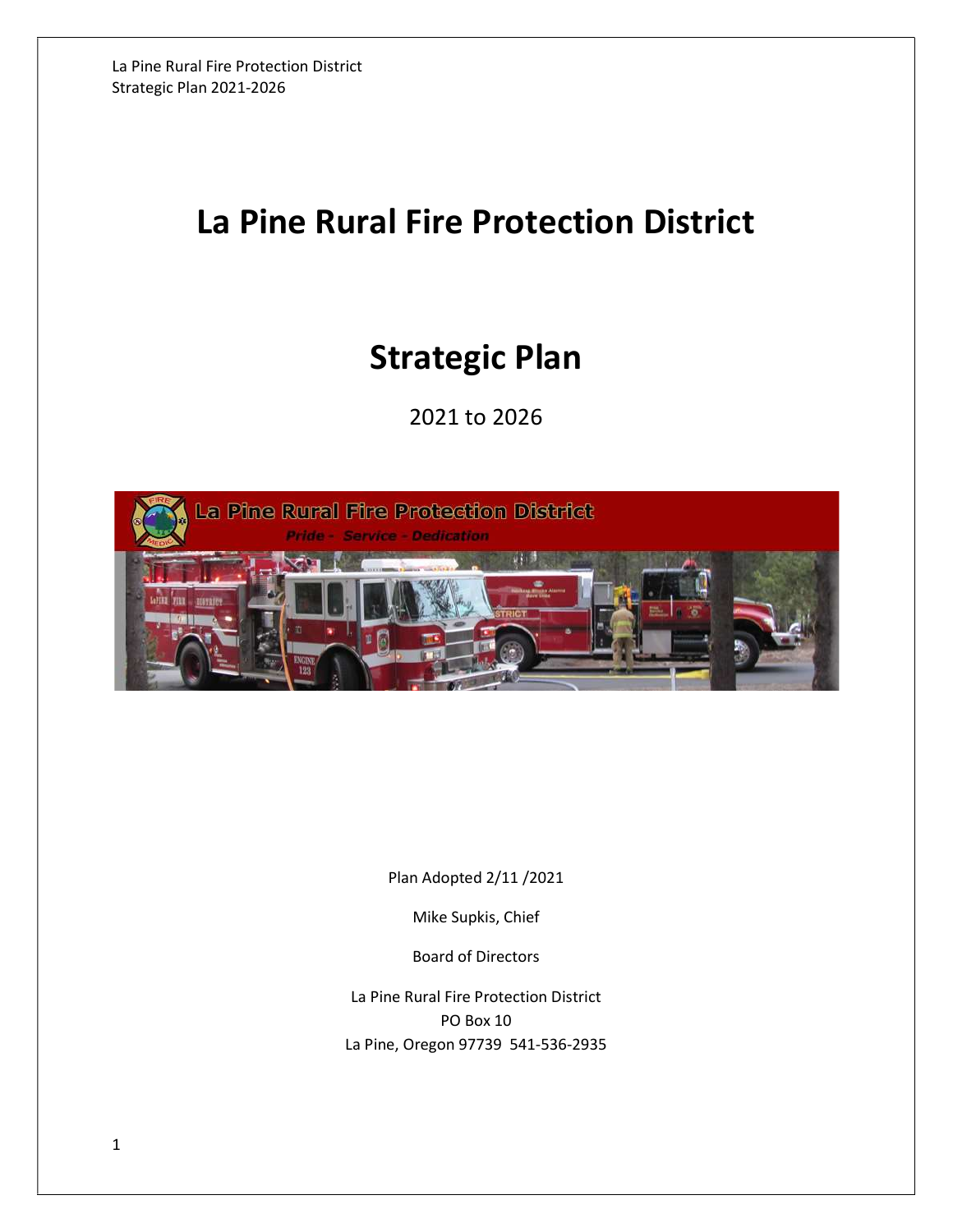# La Pine Rural Fire Protection District

# Strategic Plan

2021 to 2026



Plan Adopted 2/11 /2021

Mike Supkis, Chief

Board of Directors

La Pine Rural Fire Protection District PO Box 10 La Pine, Oregon 97739 541-536-2935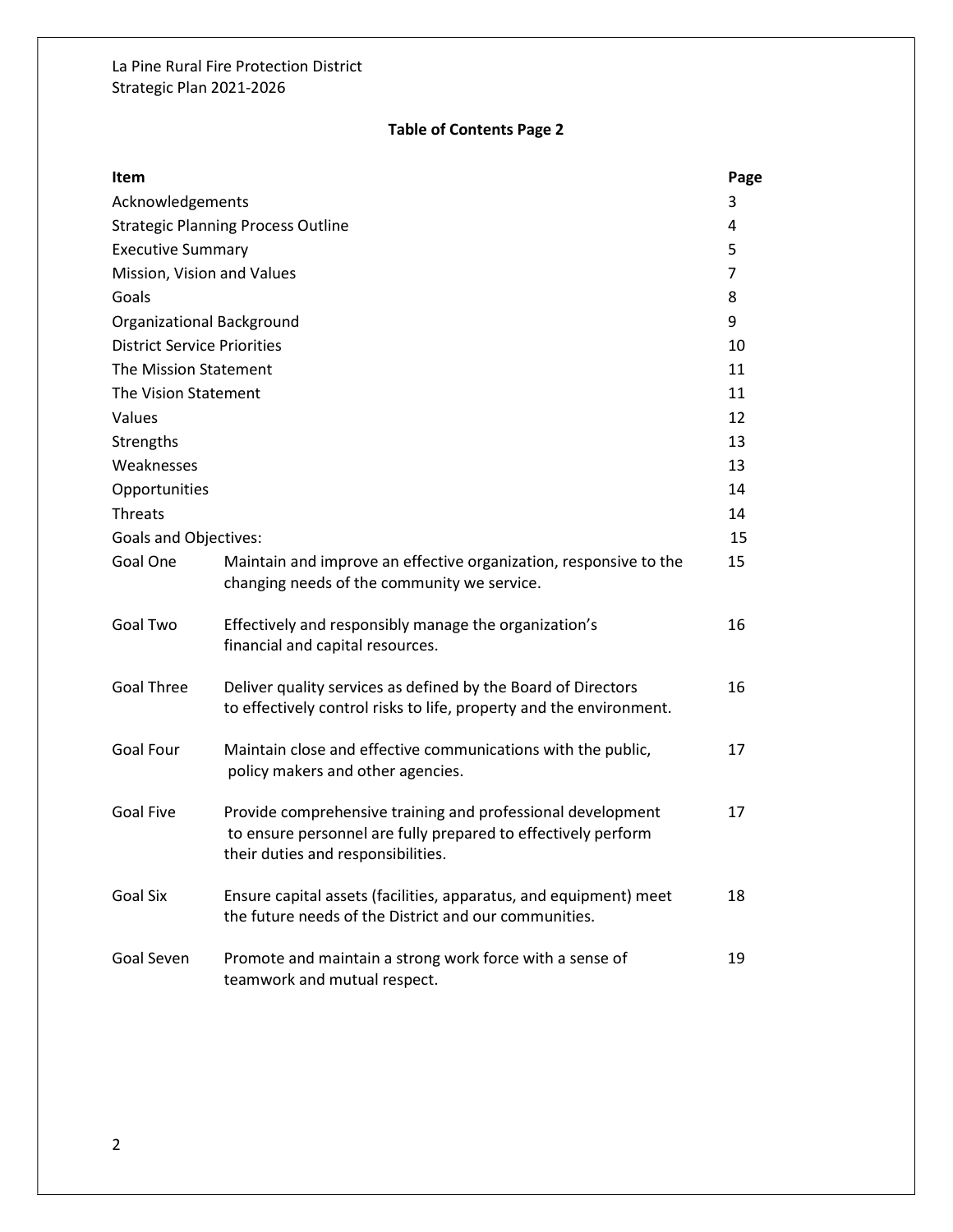## Table of Contents Page 2

| Item                               |                                                                                                                                                                    | Page |
|------------------------------------|--------------------------------------------------------------------------------------------------------------------------------------------------------------------|------|
| Acknowledgements                   |                                                                                                                                                                    | 3    |
|                                    | <b>Strategic Planning Process Outline</b>                                                                                                                          | 4    |
| <b>Executive Summary</b>           |                                                                                                                                                                    | 5    |
| Mission, Vision and Values         |                                                                                                                                                                    | 7    |
| Goals                              |                                                                                                                                                                    | 8    |
| Organizational Background          |                                                                                                                                                                    | 9    |
| <b>District Service Priorities</b> |                                                                                                                                                                    | 10   |
| The Mission Statement              |                                                                                                                                                                    | 11   |
| The Vision Statement               |                                                                                                                                                                    | 11   |
| Values                             |                                                                                                                                                                    | 12   |
| Strengths                          |                                                                                                                                                                    | 13   |
| Weaknesses                         |                                                                                                                                                                    | 13   |
| Opportunities                      |                                                                                                                                                                    | 14   |
| <b>Threats</b>                     |                                                                                                                                                                    | 14   |
| <b>Goals and Objectives:</b>       |                                                                                                                                                                    | 15   |
| Goal One                           | Maintain and improve an effective organization, responsive to the<br>changing needs of the community we service.                                                   | 15   |
| Goal Two                           | Effectively and responsibly manage the organization's<br>financial and capital resources.                                                                          | 16   |
| <b>Goal Three</b>                  | Deliver quality services as defined by the Board of Directors<br>to effectively control risks to life, property and the environment.                               | 16   |
| Goal Four                          | Maintain close and effective communications with the public,<br>policy makers and other agencies.                                                                  | 17   |
| <b>Goal Five</b>                   | Provide comprehensive training and professional development<br>to ensure personnel are fully prepared to effectively perform<br>their duties and responsibilities. | 17   |
| <b>Goal Six</b>                    | Ensure capital assets (facilities, apparatus, and equipment) meet<br>the future needs of the District and our communities.                                         | 18   |
| Goal Seven                         | Promote and maintain a strong work force with a sense of<br>teamwork and mutual respect.                                                                           | 19   |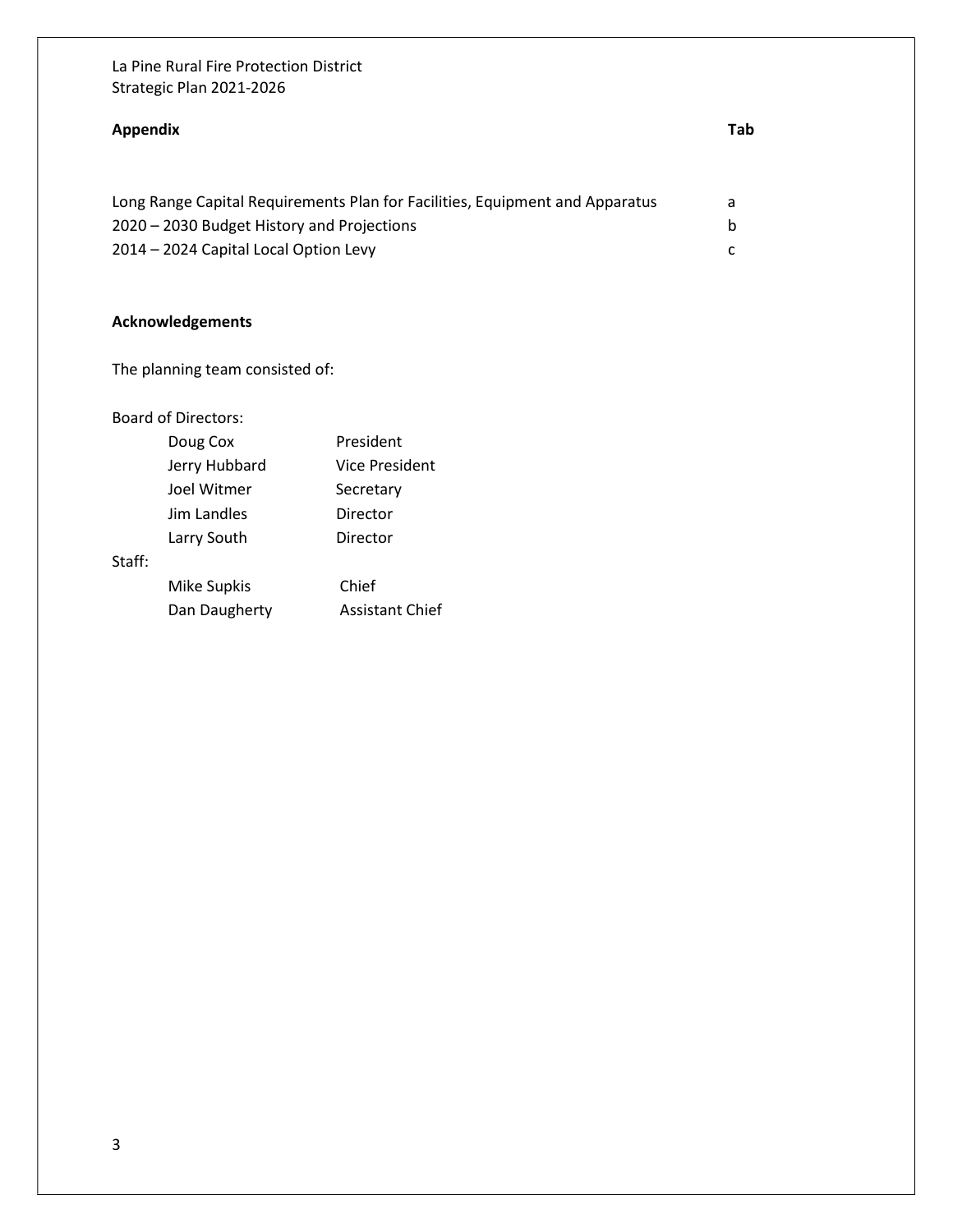# Appendix Tab Long Range Capital Requirements Plan for Facilities, Equipment and Apparatus a 2020 – 2030 Budget History and Projections b 2014 – 2024 Capital Local Option Levy c

## Acknowledgements

The planning team consisted of:

#### Board of Directors:

|        | Doug Cox      | President              |
|--------|---------------|------------------------|
|        | Jerry Hubbard | Vice President         |
|        | Joel Witmer   | Secretary              |
|        | Jim Landles   | Director               |
|        | Larry South   | Director               |
| Staff: |               |                        |
|        | Mike Supkis   | Chief                  |
|        | Dan Daugherty | <b>Assistant Chief</b> |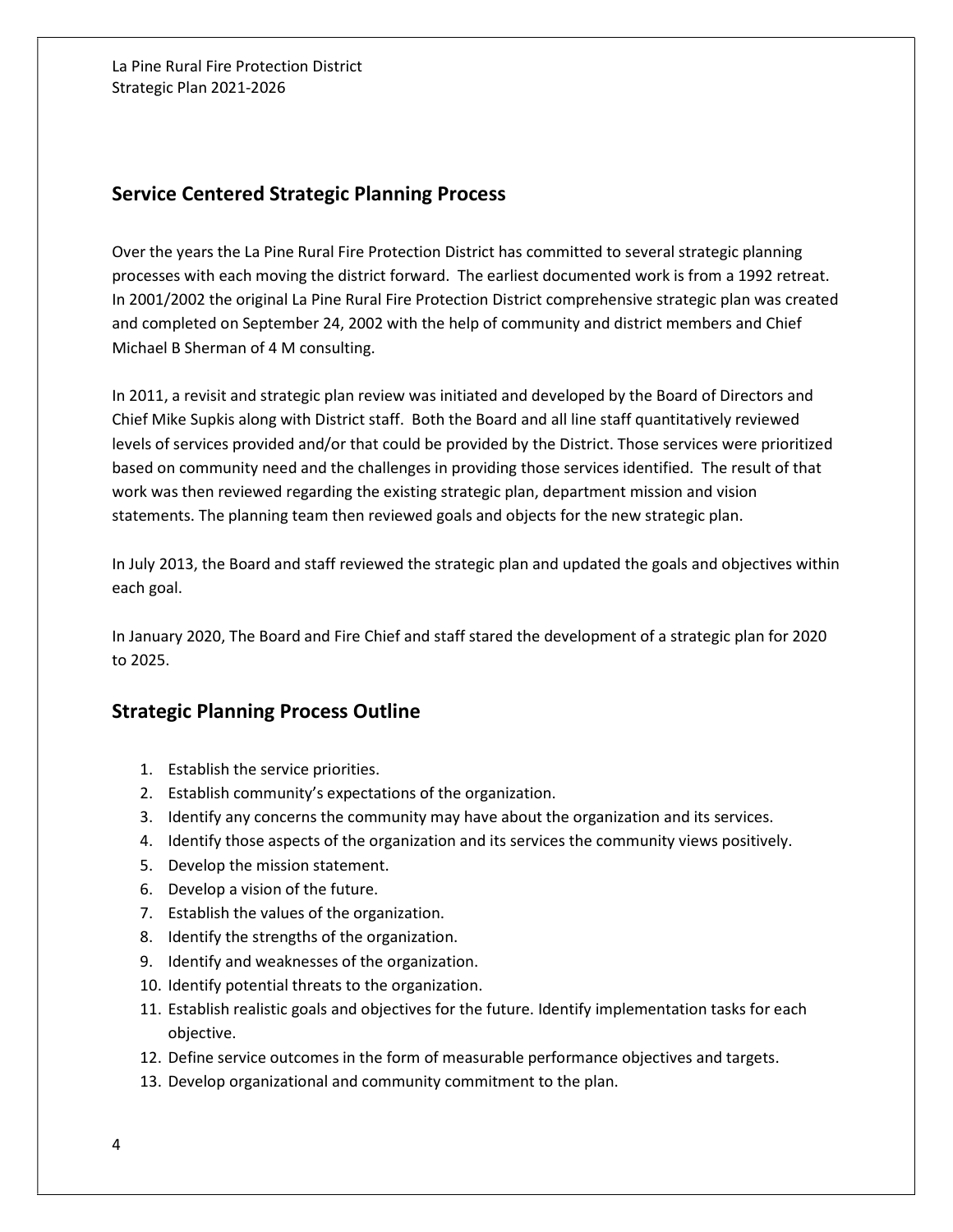## Service Centered Strategic Planning Process

Over the years the La Pine Rural Fire Protection District has committed to several strategic planning processes with each moving the district forward. The earliest documented work is from a 1992 retreat. In 2001/2002 the original La Pine Rural Fire Protection District comprehensive strategic plan was created and completed on September 24, 2002 with the help of community and district members and Chief Michael B Sherman of 4 M consulting.

In 2011, a revisit and strategic plan review was initiated and developed by the Board of Directors and Chief Mike Supkis along with District staff. Both the Board and all line staff quantitatively reviewed levels of services provided and/or that could be provided by the District. Those services were prioritized based on community need and the challenges in providing those services identified. The result of that work was then reviewed regarding the existing strategic plan, department mission and vision statements. The planning team then reviewed goals and objects for the new strategic plan.

In July 2013, the Board and staff reviewed the strategic plan and updated the goals and objectives within each goal.

In January 2020, The Board and Fire Chief and staff stared the development of a strategic plan for 2020 to 2025.

## Strategic Planning Process Outline

- 1. Establish the service priorities.
- 2. Establish community's expectations of the organization.
- 3. Identify any concerns the community may have about the organization and its services.
- 4. Identify those aspects of the organization and its services the community views positively.
- 5. Develop the mission statement.
- 6. Develop a vision of the future.
- 7. Establish the values of the organization.
- 8. Identify the strengths of the organization.
- 9. Identify and weaknesses of the organization.
- 10. Identify potential threats to the organization.
- 11. Establish realistic goals and objectives for the future. Identify implementation tasks for each objective.
- 12. Define service outcomes in the form of measurable performance objectives and targets.
- 13. Develop organizational and community commitment to the plan.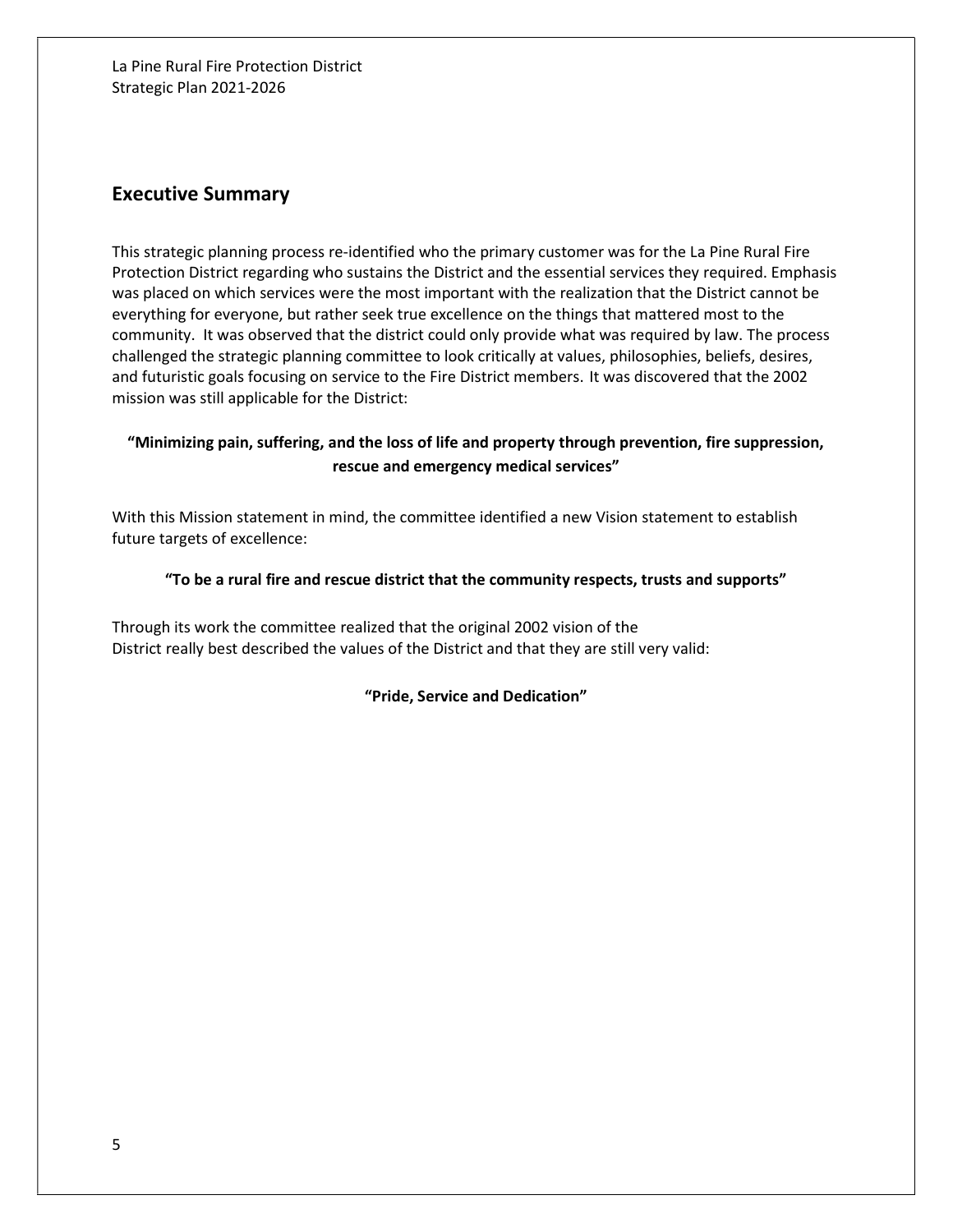## Executive Summary

This strategic planning process re-identified who the primary customer was for the La Pine Rural Fire Protection District regarding who sustains the District and the essential services they required. Emphasis was placed on which services were the most important with the realization that the District cannot be everything for everyone, but rather seek true excellence on the things that mattered most to the community. It was observed that the district could only provide what was required by law. The process challenged the strategic planning committee to look critically at values, philosophies, beliefs, desires, and futuristic goals focusing on service to the Fire District members. It was discovered that the 2002 mission was still applicable for the District:

## "Minimizing pain, suffering, and the loss of life and property through prevention, fire suppression, rescue and emergency medical services"

With this Mission statement in mind, the committee identified a new Vision statement to establish future targets of excellence:

#### "To be a rural fire and rescue district that the community respects, trusts and supports"

Through its work the committee realized that the original 2002 vision of the District really best described the values of the District and that they are still very valid:

"Pride, Service and Dedication"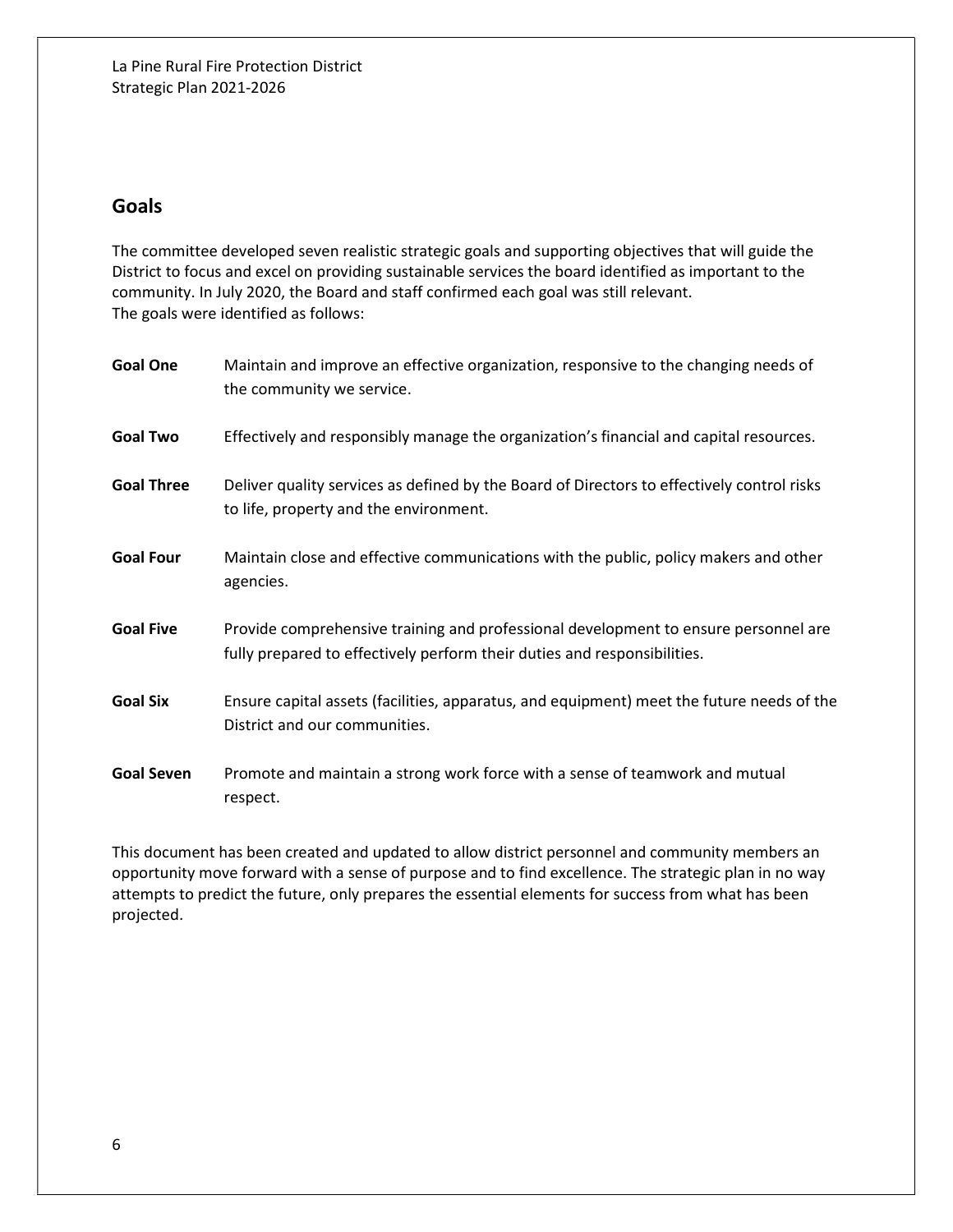# Goals

The committee developed seven realistic strategic goals and supporting objectives that will guide the District to focus and excel on providing sustainable services the board identified as important to the community. In July 2020, the Board and staff confirmed each goal was still relevant. The goals were identified as follows:

| <b>Goal One</b>   | Maintain and improve an effective organization, responsive to the changing needs of<br>the community we service.                                                |
|-------------------|-----------------------------------------------------------------------------------------------------------------------------------------------------------------|
| <b>Goal Two</b>   | Effectively and responsibly manage the organization's financial and capital resources.                                                                          |
| <b>Goal Three</b> | Deliver quality services as defined by the Board of Directors to effectively control risks<br>to life, property and the environment.                            |
| <b>Goal Four</b>  | Maintain close and effective communications with the public, policy makers and other<br>agencies.                                                               |
| <b>Goal Five</b>  | Provide comprehensive training and professional development to ensure personnel are<br>fully prepared to effectively perform their duties and responsibilities. |
| <b>Goal Six</b>   | Ensure capital assets (facilities, apparatus, and equipment) meet the future needs of the<br>District and our communities.                                      |
| <b>Goal Seven</b> | Promote and maintain a strong work force with a sense of teamwork and mutual<br>respect.                                                                        |

This document has been created and updated to allow district personnel and community members an opportunity move forward with a sense of purpose and to find excellence. The strategic plan in no way attempts to predict the future, only prepares the essential elements for success from what has been projected.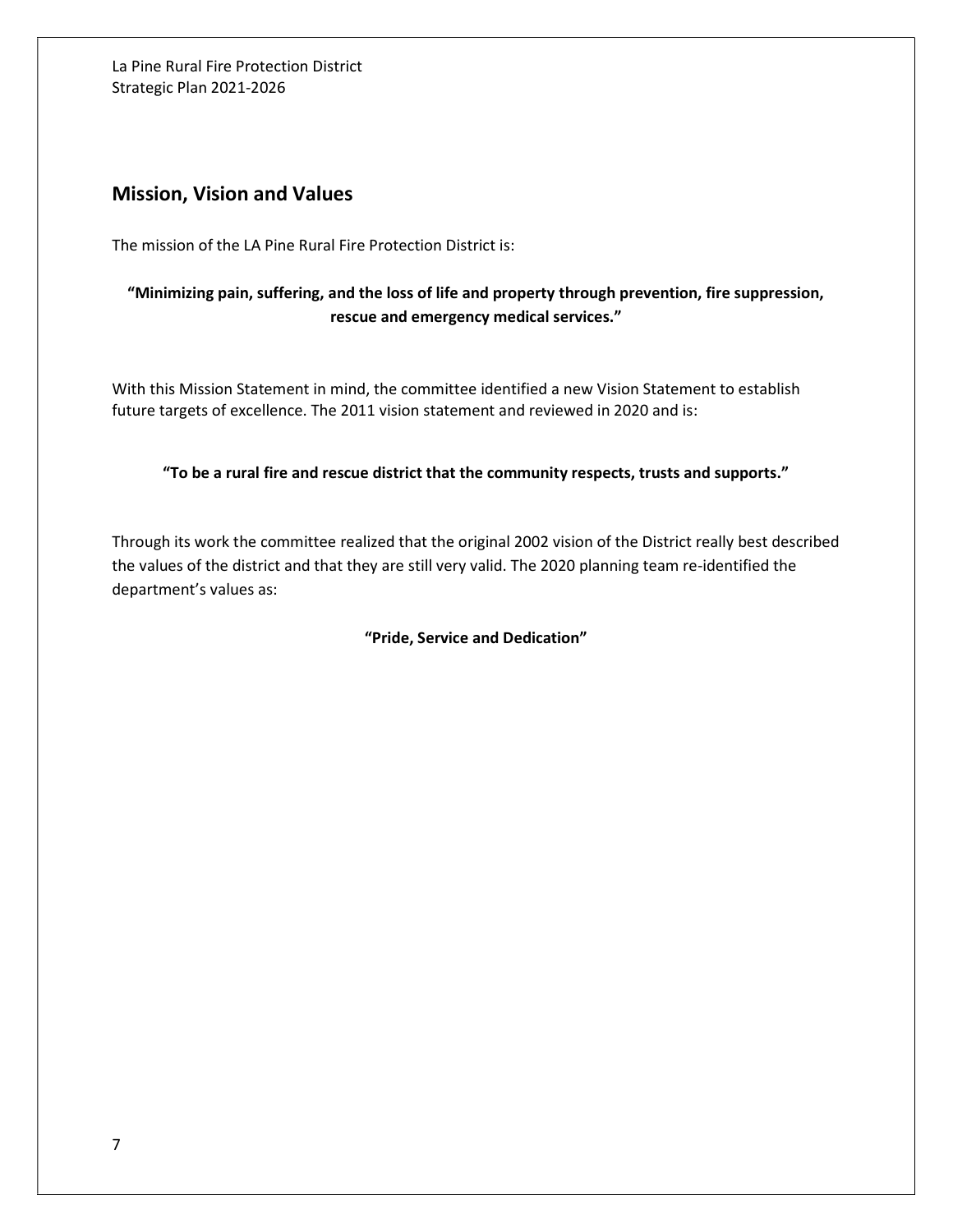## Mission, Vision and Values

The mission of the LA Pine Rural Fire Protection District is:

## "Minimizing pain, suffering, and the loss of life and property through prevention, fire suppression, rescue and emergency medical services."

With this Mission Statement in mind, the committee identified a new Vision Statement to establish future targets of excellence. The 2011 vision statement and reviewed in 2020 and is:

"To be a rural fire and rescue district that the community respects, trusts and supports."

Through its work the committee realized that the original 2002 vision of the District really best described the values of the district and that they are still very valid. The 2020 planning team re-identified the department's values as:

"Pride, Service and Dedication"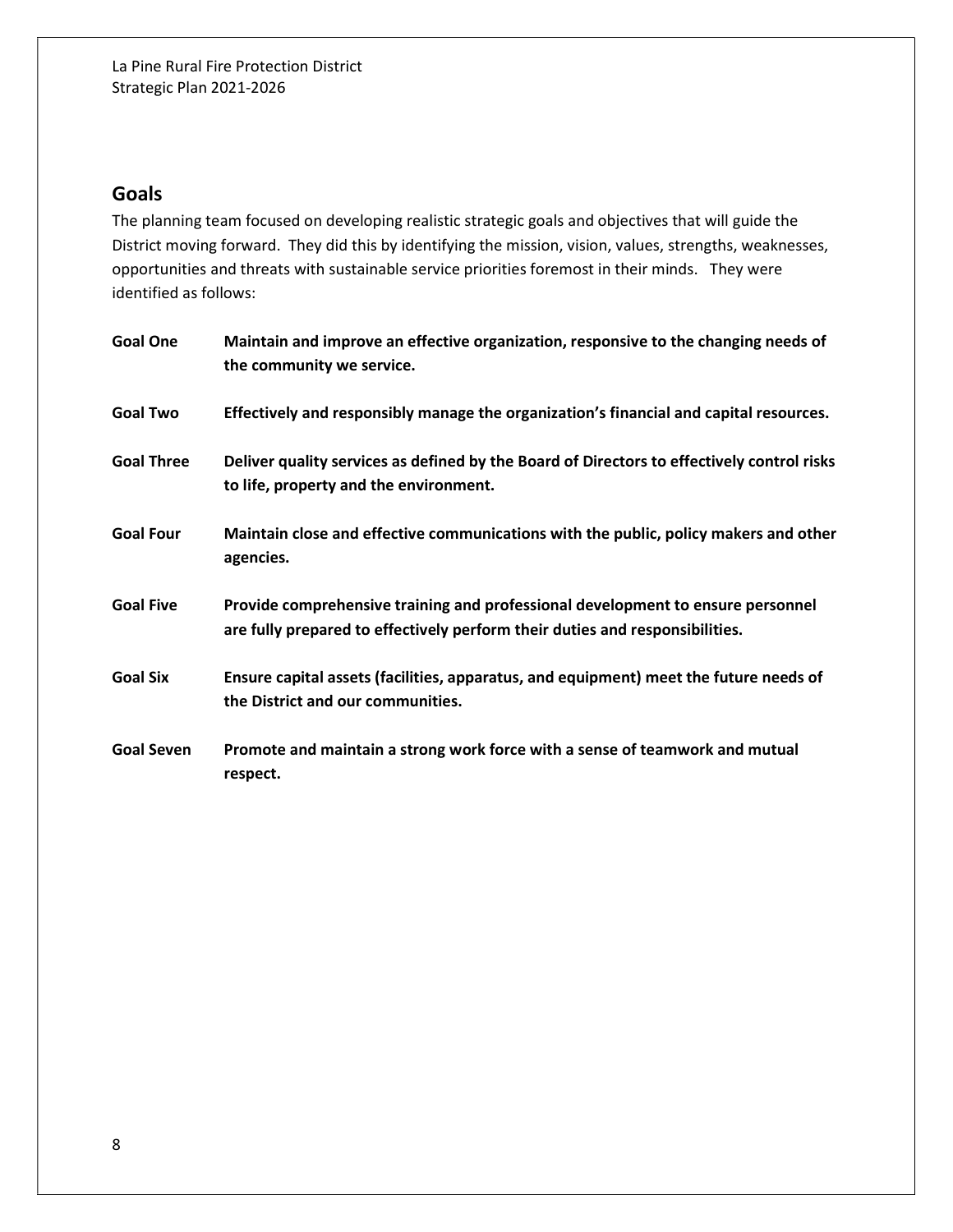# Goals

The planning team focused on developing realistic strategic goals and objectives that will guide the District moving forward. They did this by identifying the mission, vision, values, strengths, weaknesses, opportunities and threats with sustainable service priorities foremost in their minds. They were identified as follows:

| <b>Goal One</b>   | Maintain and improve an effective organization, responsive to the changing needs of<br>the community we service.                                                |
|-------------------|-----------------------------------------------------------------------------------------------------------------------------------------------------------------|
| <b>Goal Two</b>   | Effectively and responsibly manage the organization's financial and capital resources.                                                                          |
| <b>Goal Three</b> | Deliver quality services as defined by the Board of Directors to effectively control risks<br>to life, property and the environment.                            |
| <b>Goal Four</b>  | Maintain close and effective communications with the public, policy makers and other<br>agencies.                                                               |
| <b>Goal Five</b>  | Provide comprehensive training and professional development to ensure personnel<br>are fully prepared to effectively perform their duties and responsibilities. |
| <b>Goal Six</b>   | Ensure capital assets (facilities, apparatus, and equipment) meet the future needs of<br>the District and our communities.                                      |
| <b>Goal Seven</b> | Promote and maintain a strong work force with a sense of teamwork and mutual<br>respect.                                                                        |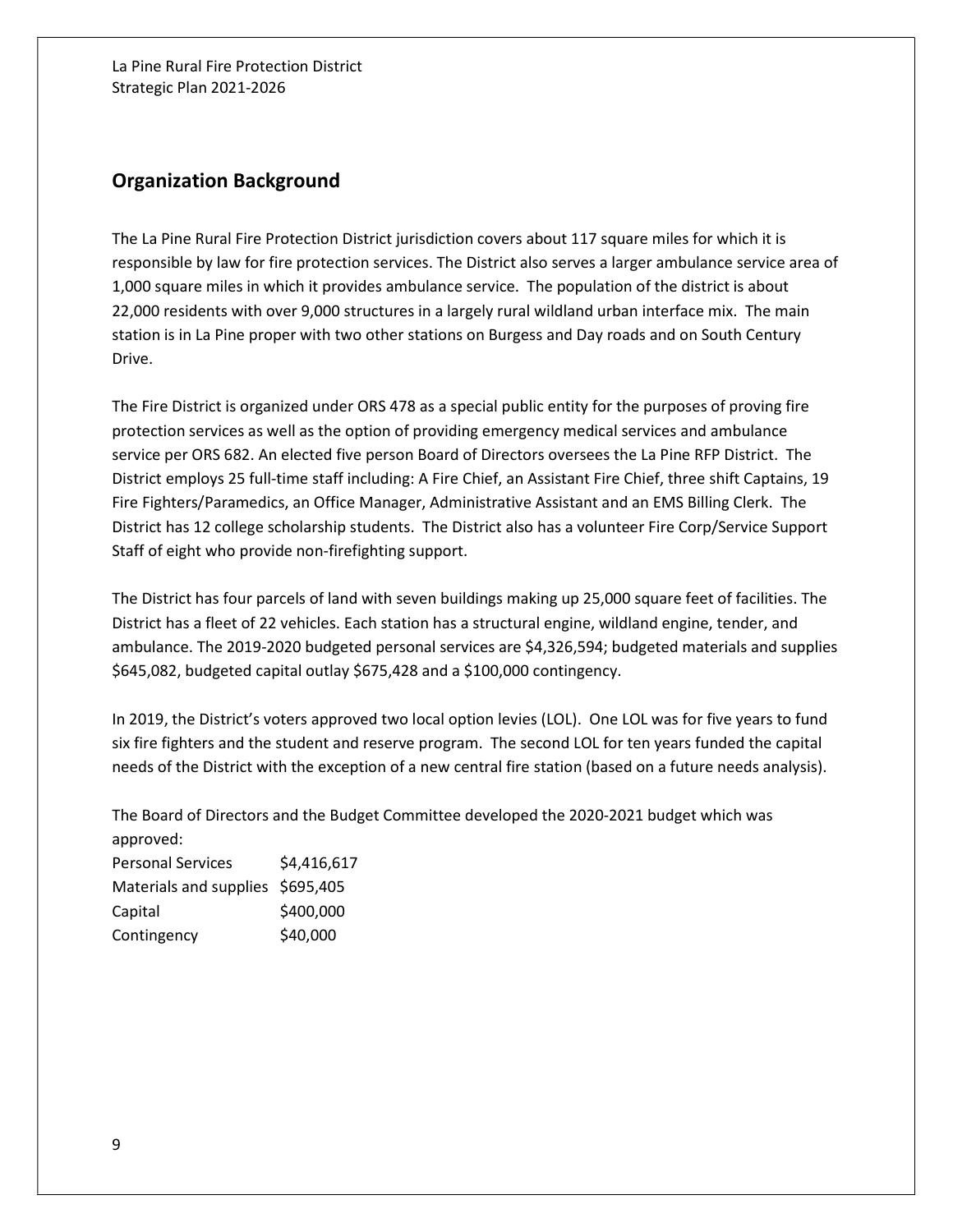## Organization Background

The La Pine Rural Fire Protection District jurisdiction covers about 117 square miles for which it is responsible by law for fire protection services. The District also serves a larger ambulance service area of 1,000 square miles in which it provides ambulance service. The population of the district is about 22,000 residents with over 9,000 structures in a largely rural wildland urban interface mix. The main station is in La Pine proper with two other stations on Burgess and Day roads and on South Century Drive.

The Fire District is organized under ORS 478 as a special public entity for the purposes of proving fire protection services as well as the option of providing emergency medical services and ambulance service per ORS 682. An elected five person Board of Directors oversees the La Pine RFP District. The District employs 25 full-time staff including: A Fire Chief, an Assistant Fire Chief, three shift Captains, 19 Fire Fighters/Paramedics, an Office Manager, Administrative Assistant and an EMS Billing Clerk. The District has 12 college scholarship students. The District also has a volunteer Fire Corp/Service Support Staff of eight who provide non-firefighting support.

The District has four parcels of land with seven buildings making up 25,000 square feet of facilities. The District has a fleet of 22 vehicles. Each station has a structural engine, wildland engine, tender, and ambulance. The 2019-2020 budgeted personal services are \$4,326,594; budgeted materials and supplies \$645,082, budgeted capital outlay \$675,428 and a \$100,000 contingency.

In 2019, the District's voters approved two local option levies (LOL). One LOL was for five years to fund six fire fighters and the student and reserve program. The second LOL for ten years funded the capital needs of the District with the exception of a new central fire station (based on a future needs analysis).

The Board of Directors and the Budget Committee developed the 2020-2021 budget which was approved:

Personal Services \$4,416,617 Materials and supplies \$695,405 Capital \$400,000 Contingency \$40,000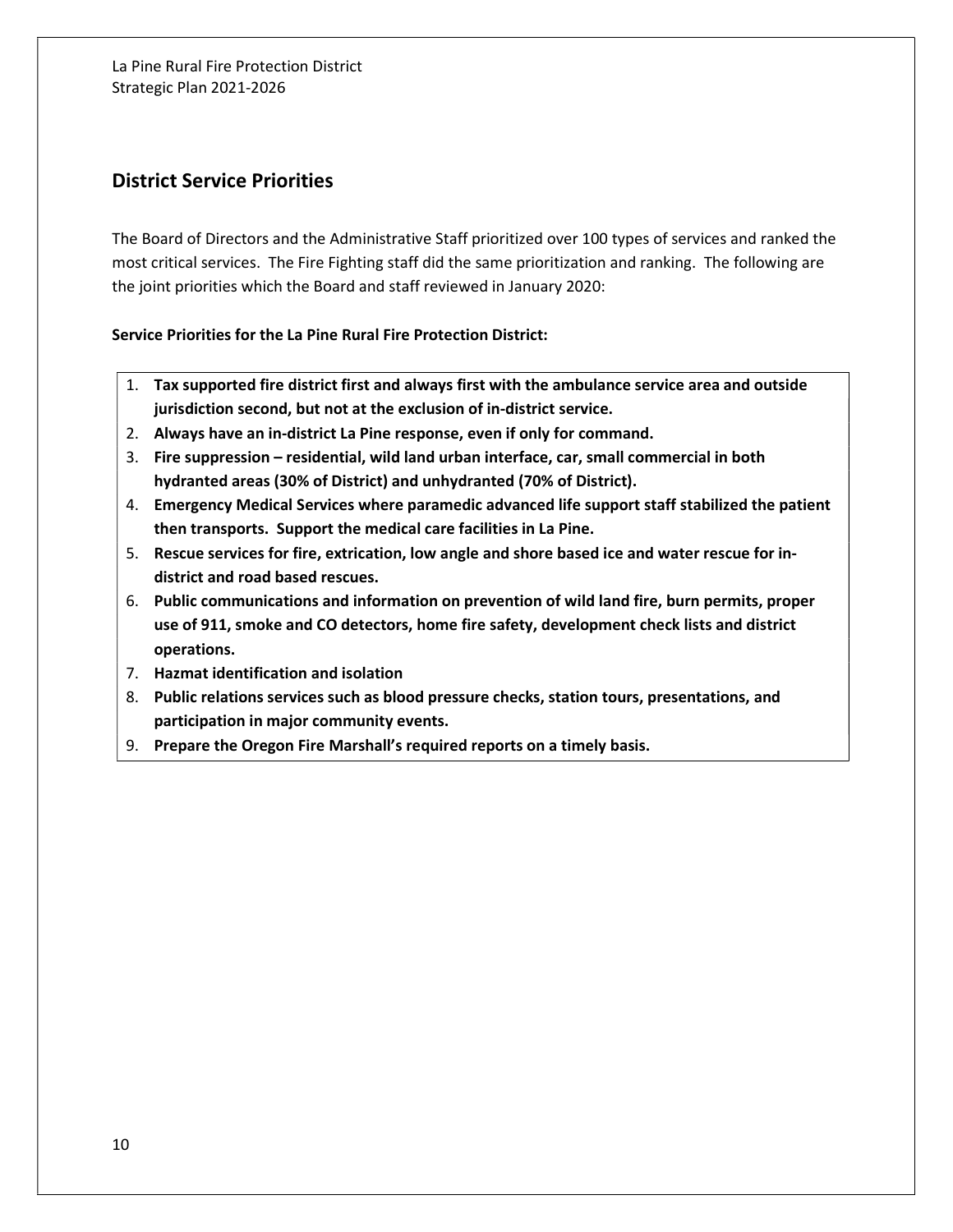# District Service Priorities

The Board of Directors and the Administrative Staff prioritized over 100 types of services and ranked the most critical services. The Fire Fighting staff did the same prioritization and ranking. The following are the joint priorities which the Board and staff reviewed in January 2020:

Service Priorities for the La Pine Rural Fire Protection District:

- 1. Tax supported fire district first and always first with the ambulance service area and outside jurisdiction second, but not at the exclusion of in-district service.
- 2. Always have an in-district La Pine response, even if only for command.
- 3. Fire suppression residential, wild land urban interface, car, small commercial in both hydranted areas (30% of District) and unhydranted (70% of District).
- 4. Emergency Medical Services where paramedic advanced life support staff stabilized the patient then transports. Support the medical care facilities in La Pine.
- 5. Rescue services for fire, extrication, low angle and shore based ice and water rescue for indistrict and road based rescues.
- 6. Public communications and information on prevention of wild land fire, burn permits, proper use of 911, smoke and CO detectors, home fire safety, development check lists and district operations.
- 7. Hazmat identification and isolation
- 8. Public relations services such as blood pressure checks, station tours, presentations, and participation in major community events.
- 9. Prepare the Oregon Fire Marshall's required reports on a timely basis.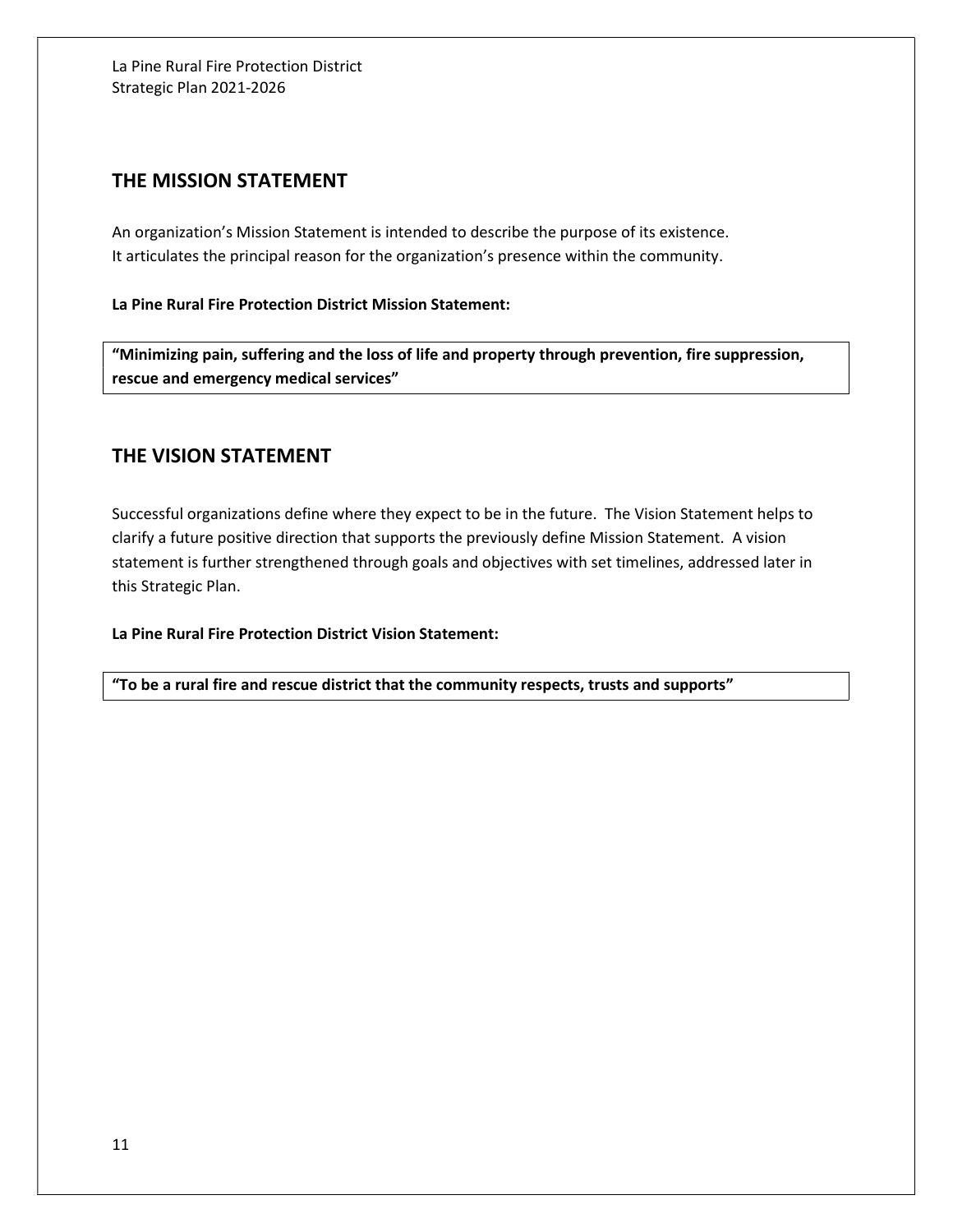## THE MISSION STATEMENT

An organization's Mission Statement is intended to describe the purpose of its existence. It articulates the principal reason for the organization's presence within the community.

La Pine Rural Fire Protection District Mission Statement:

"Minimizing pain, suffering and the loss of life and property through prevention, fire suppression, rescue and emergency medical services"

## THE VISION STATEMENT

Successful organizations define where they expect to be in the future. The Vision Statement helps to clarify a future positive direction that supports the previously define Mission Statement. A vision statement is further strengthened through goals and objectives with set timelines, addressed later in this Strategic Plan.

La Pine Rural Fire Protection District Vision Statement:

"To be a rural fire and rescue district that the community respects, trusts and supports"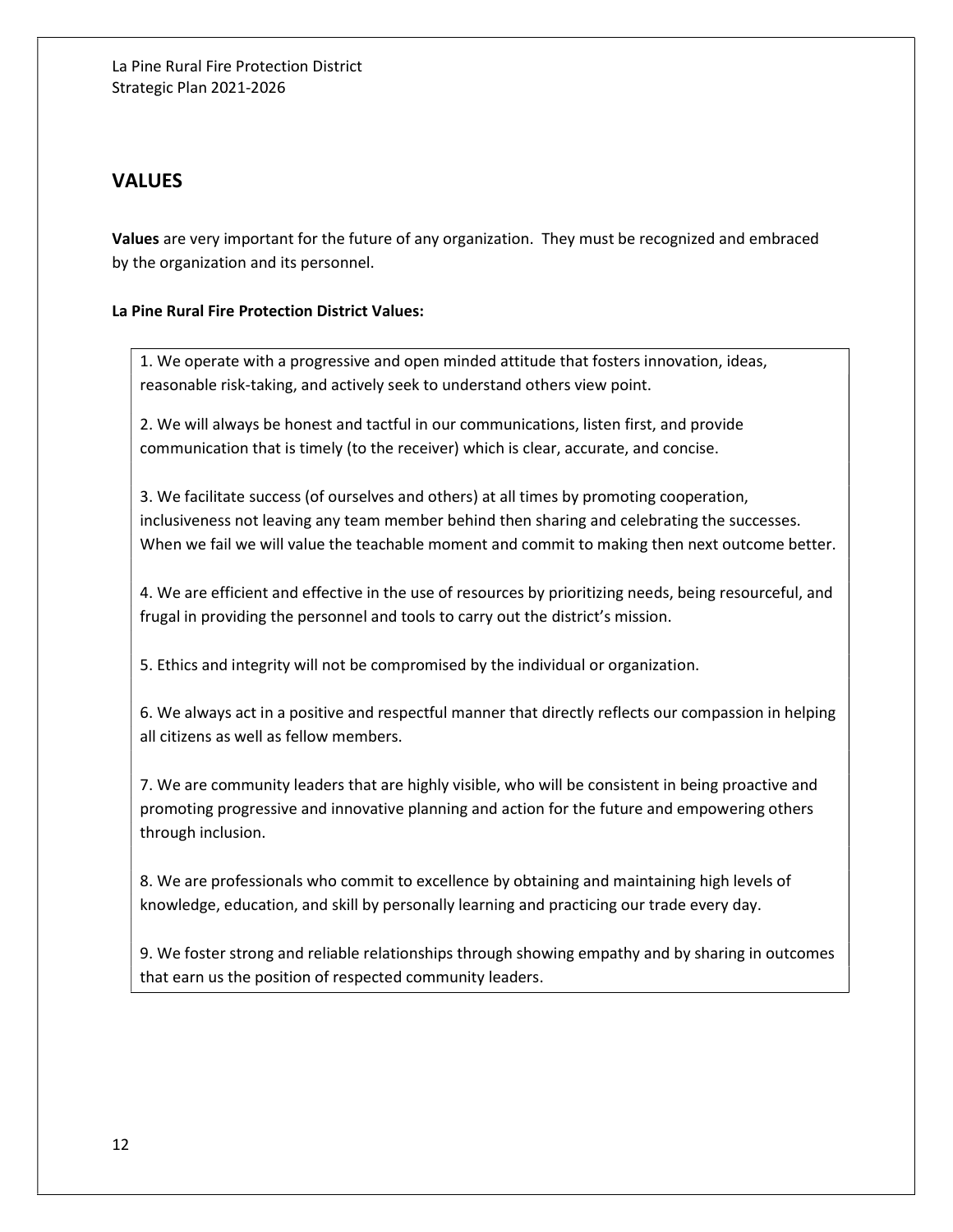# VALUES

Values are very important for the future of any organization. They must be recognized and embraced by the organization and its personnel.

#### La Pine Rural Fire Protection District Values:

1. We operate with a progressive and open minded attitude that fosters innovation, ideas, reasonable risk-taking, and actively seek to understand others view point.

2. We will always be honest and tactful in our communications, listen first, and provide communication that is timely (to the receiver) which is clear, accurate, and concise.

3. We facilitate success (of ourselves and others) at all times by promoting cooperation, inclusiveness not leaving any team member behind then sharing and celebrating the successes. When we fail we will value the teachable moment and commit to making then next outcome better.

4. We are efficient and effective in the use of resources by prioritizing needs, being resourceful, and frugal in providing the personnel and tools to carry out the district's mission.

5. Ethics and integrity will not be compromised by the individual or organization.

6. We always act in a positive and respectful manner that directly reflects our compassion in helping all citizens as well as fellow members.

7. We are community leaders that are highly visible, who will be consistent in being proactive and promoting progressive and innovative planning and action for the future and empowering others through inclusion.

8. We are professionals who commit to excellence by obtaining and maintaining high levels of knowledge, education, and skill by personally learning and practicing our trade every day.

9. We foster strong and reliable relationships through showing empathy and by sharing in outcomes that earn us the position of respected community leaders.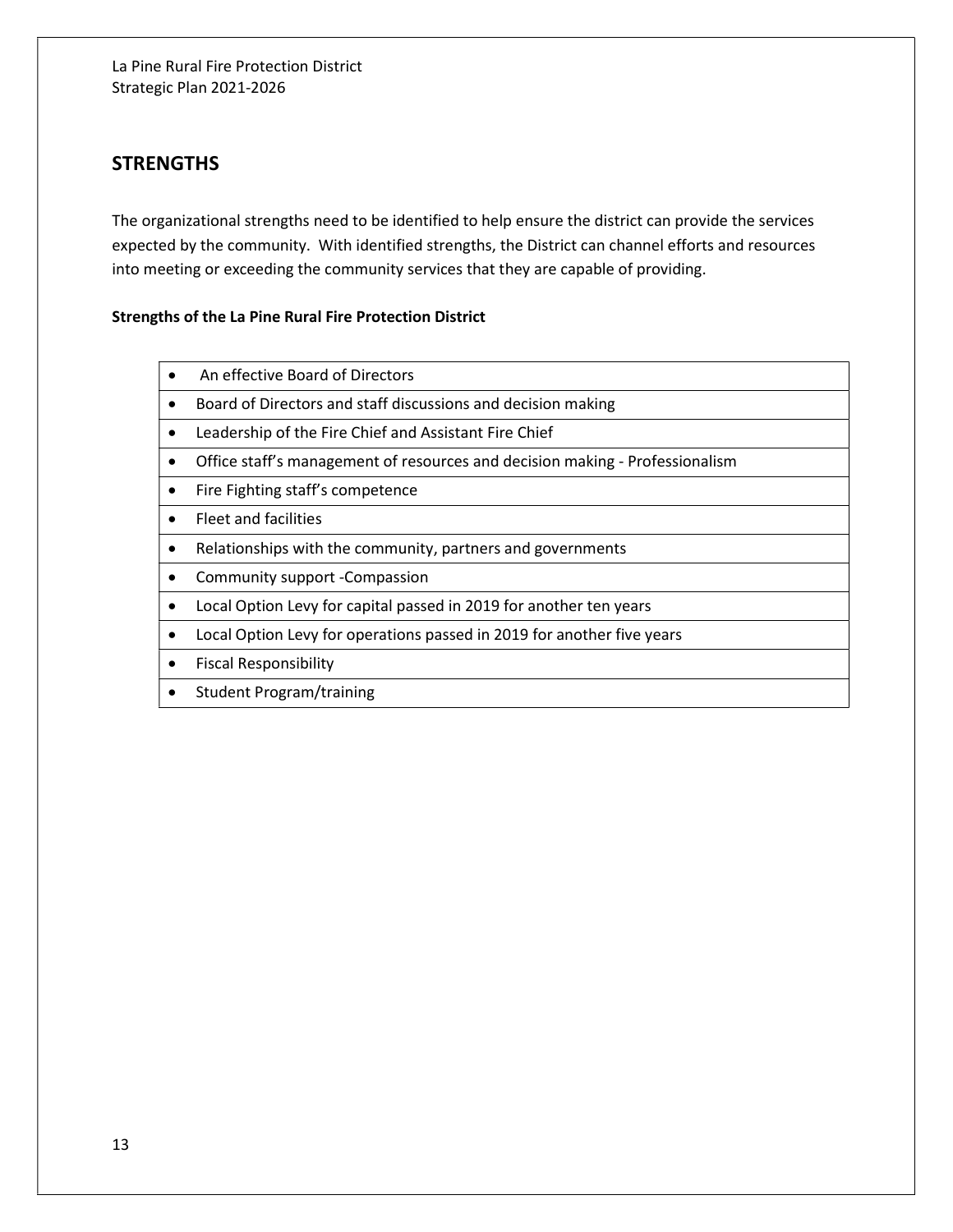# **STRENGTHS**

The organizational strengths need to be identified to help ensure the district can provide the services expected by the community. With identified strengths, the District can channel efforts and resources into meeting or exceeding the community services that they are capable of providing.

#### Strengths of the La Pine Rural Fire Protection District

- An effective Board of Directors
- Board of Directors and staff discussions and decision making
- Leadership of the Fire Chief and Assistant Fire Chief
- Office staff's management of resources and decision making Professionalism
- Fire Fighting staff's competence
- Fleet and facilities
- Relationships with the community, partners and governments
- Community support -Compassion
- Local Option Levy for capital passed in 2019 for another ten years
- Local Option Levy for operations passed in 2019 for another five years
- **•** Fiscal Responsibility
- Student Program/training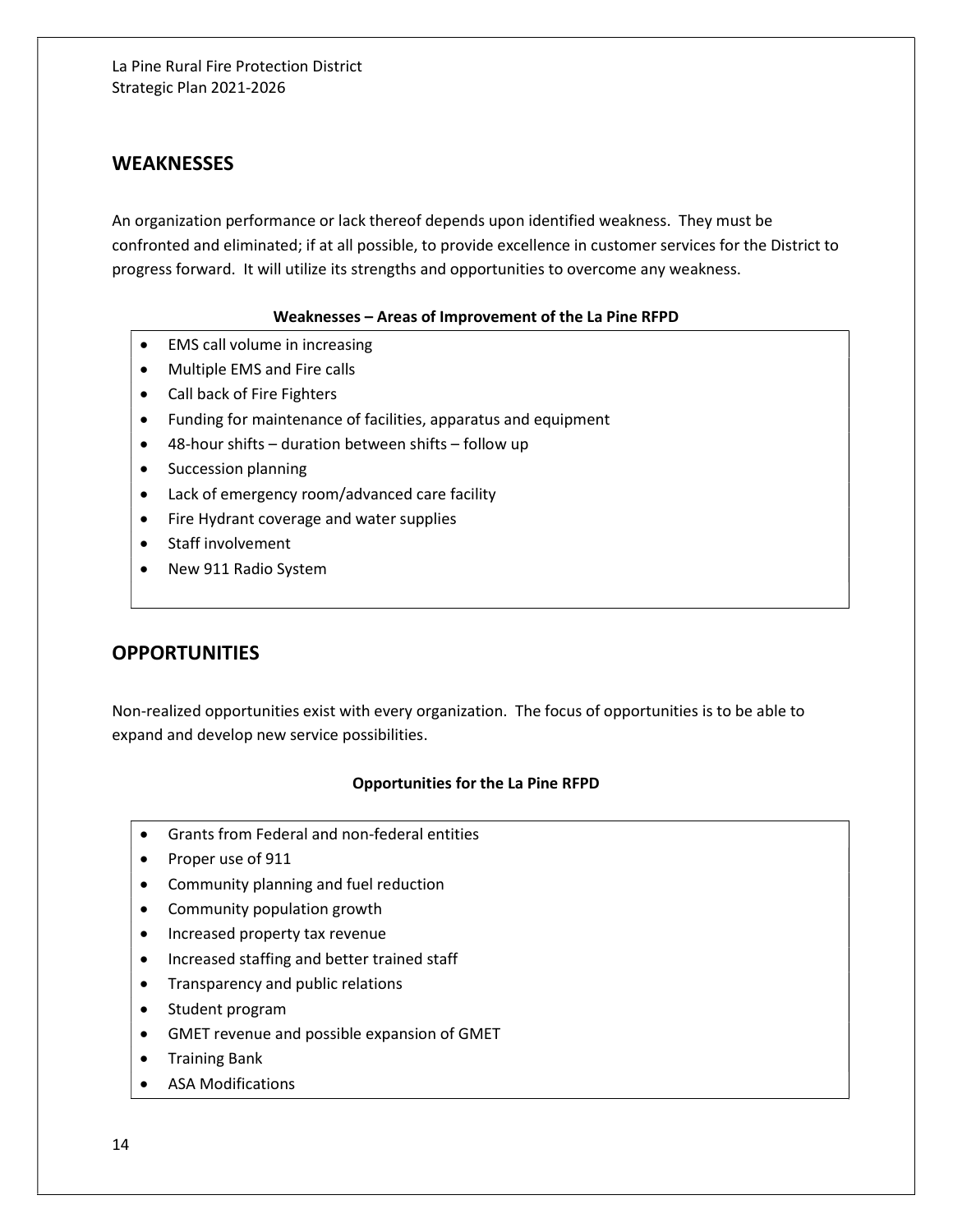## **WEAKNESSES**

An organization performance or lack thereof depends upon identified weakness. They must be confronted and eliminated; if at all possible, to provide excellence in customer services for the District to progress forward. It will utilize its strengths and opportunities to overcome any weakness.

#### Weaknesses – Areas of Improvement of the La Pine RFPD

- EMS call volume in increasing
- Multiple EMS and Fire calls
- Call back of Fire Fighters
- Funding for maintenance of facilities, apparatus and equipment
- 48-hour shifts duration between shifts follow up
- Succession planning
- Lack of emergency room/advanced care facility
- Fire Hydrant coverage and water supplies
- Staff involvement
- New 911 Radio System

# **OPPORTUNITIES**

Non-realized opportunities exist with every organization. The focus of opportunities is to be able to expand and develop new service possibilities.

#### Opportunities for the La Pine RFPD

- Grants from Federal and non-federal entities
- Proper use of 911
- Community planning and fuel reduction
- Community population growth
- Increased property tax revenue
- Increased staffing and better trained staff
- Transparency and public relations
- Student program
- GMET revenue and possible expansion of GMET
- **•** Training Bank
- ASA Modifications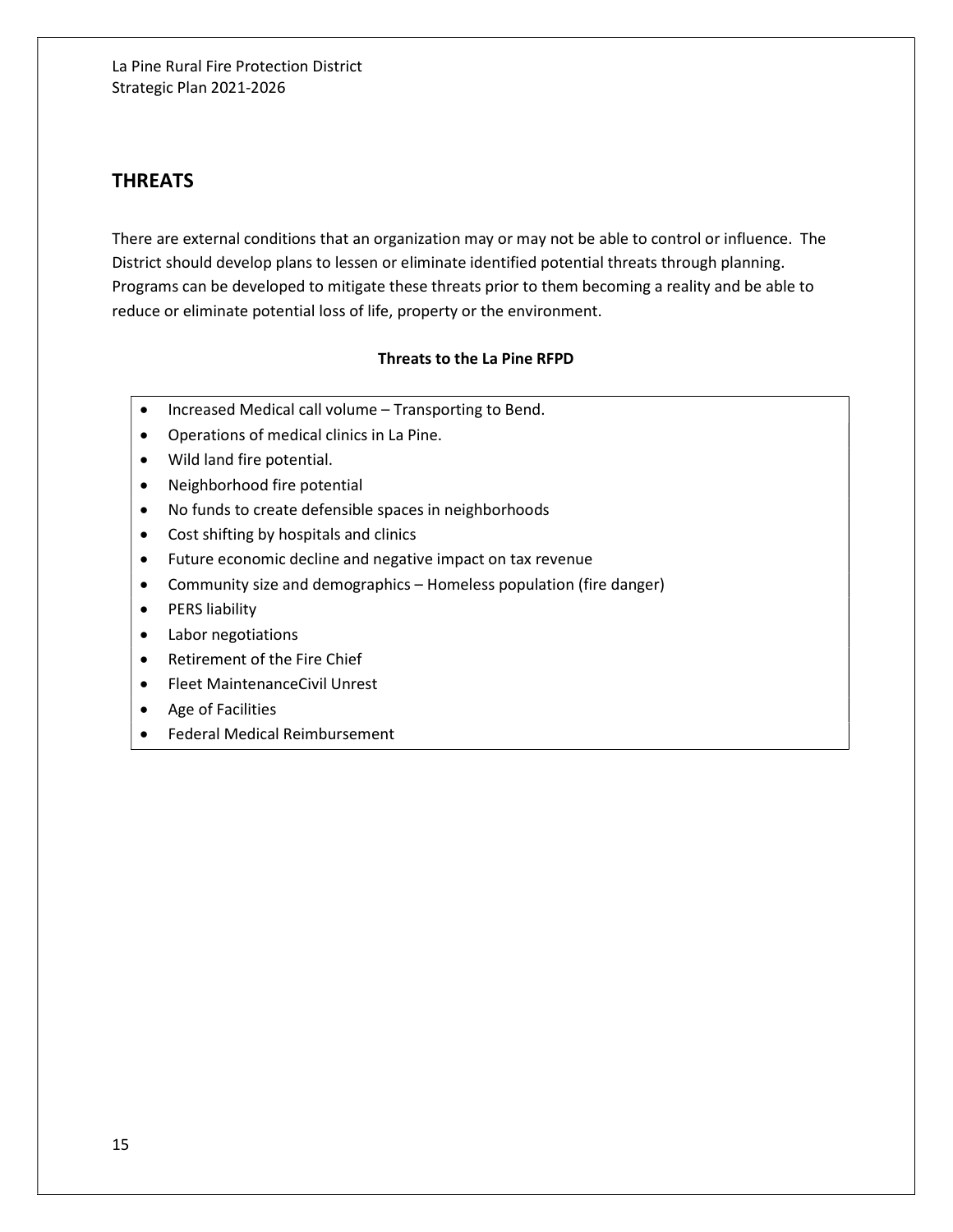# THREATS

There are external conditions that an organization may or may not be able to control or influence. The District should develop plans to lessen or eliminate identified potential threats through planning. Programs can be developed to mitigate these threats prior to them becoming a reality and be able to reduce or eliminate potential loss of life, property or the environment.

#### Threats to the La Pine RFPD

- Increased Medical call volume Transporting to Bend.
- Operations of medical clinics in La Pine.
- Wild land fire potential.
- Neighborhood fire potential
- No funds to create defensible spaces in neighborhoods
- Cost shifting by hospitals and clinics
- Future economic decline and negative impact on tax revenue
- Community size and demographics Homeless population (fire danger)
- PERS liability
- Labor negotiations
- Retirement of the Fire Chief
- Fleet MaintenanceCivil Unrest
- Age of Facilities
- Federal Medical Reimbursement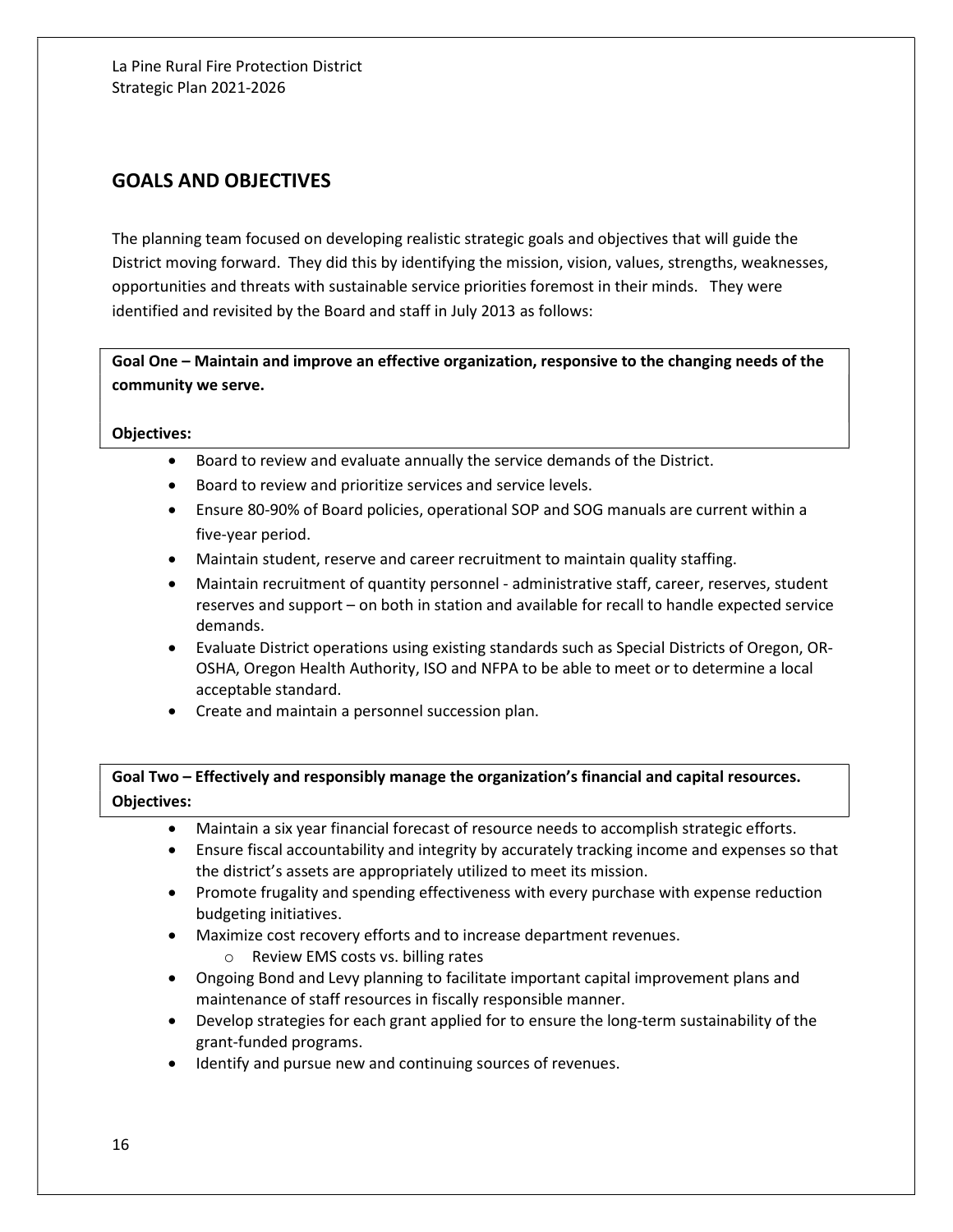# GOALS AND OBJECTIVES

The planning team focused on developing realistic strategic goals and objectives that will guide the District moving forward. They did this by identifying the mission, vision, values, strengths, weaknesses, opportunities and threats with sustainable service priorities foremost in their minds. They were identified and revisited by the Board and staff in July 2013 as follows:

Goal One – Maintain and improve an effective organization, responsive to the changing needs of the community we serve.

#### Objectives:

- Board to review and evaluate annually the service demands of the District.
- Board to review and prioritize services and service levels.
- Ensure 80-90% of Board policies, operational SOP and SOG manuals are current within a five-year period.
- Maintain student, reserve and career recruitment to maintain quality staffing.
- Maintain recruitment of quantity personnel administrative staff, career, reserves, student reserves and support – on both in station and available for recall to handle expected service demands.
- Evaluate District operations using existing standards such as Special Districts of Oregon, OR-OSHA, Oregon Health Authority, ISO and NFPA to be able to meet or to determine a local acceptable standard.
- Create and maintain a personnel succession plan.

## Goal Two – Effectively and responsibly manage the organization's financial and capital resources. Objectives:

- Maintain a six year financial forecast of resource needs to accomplish strategic efforts.
- Ensure fiscal accountability and integrity by accurately tracking income and expenses so that the district's assets are appropriately utilized to meet its mission.
- Promote frugality and spending effectiveness with every purchase with expense reduction budgeting initiatives.
- Maximize cost recovery efforts and to increase department revenues.
	- o Review EMS costs vs. billing rates
- Ongoing Bond and Levy planning to facilitate important capital improvement plans and maintenance of staff resources in fiscally responsible manner.
- Develop strategies for each grant applied for to ensure the long-term sustainability of the grant-funded programs.
- $\bullet$  Identify and pursue new and continuing sources of revenues.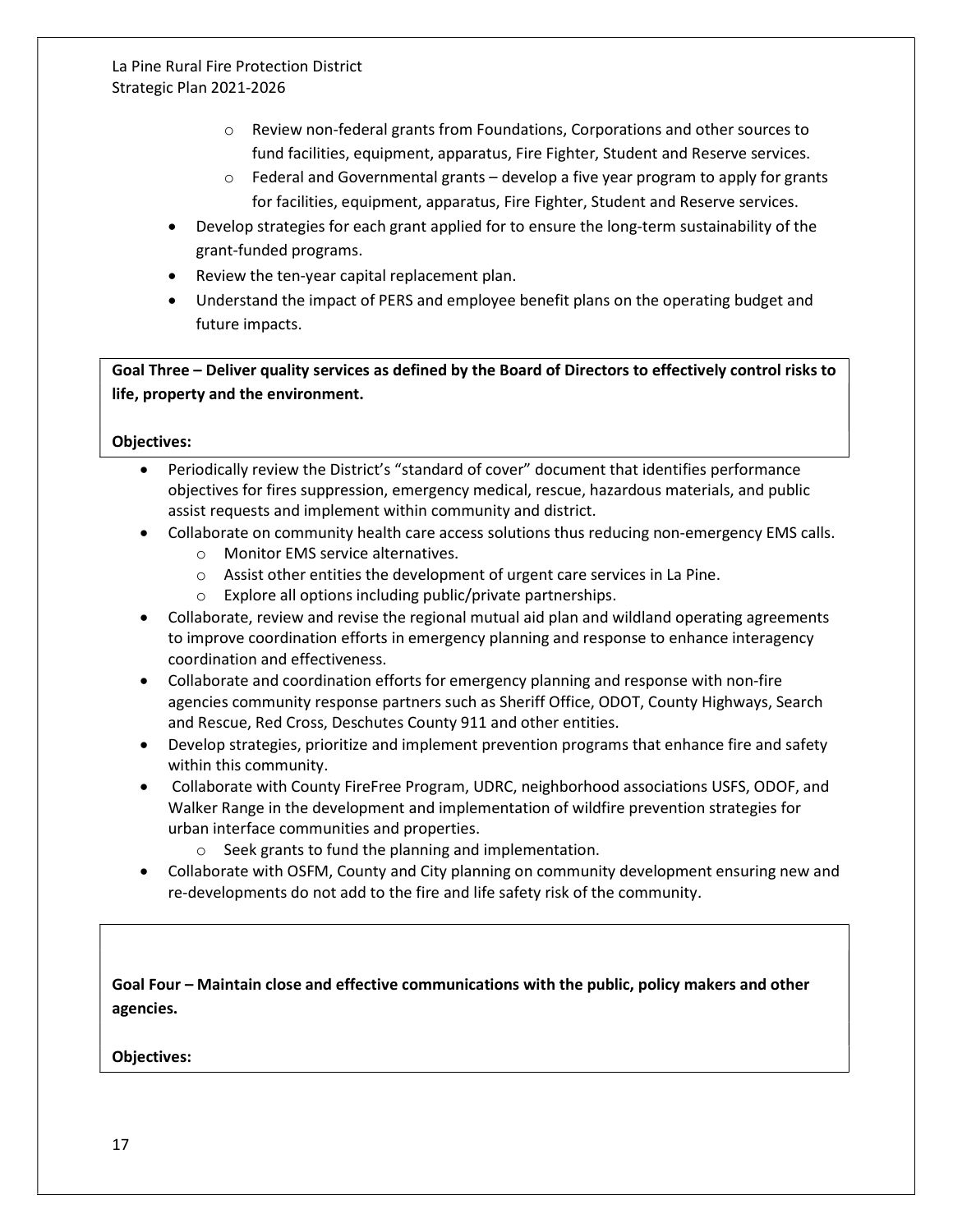- $\circ$  Review non-federal grants from Foundations, Corporations and other sources to fund facilities, equipment, apparatus, Fire Fighter, Student and Reserve services.
- $\circ$  Federal and Governmental grants develop a five year program to apply for grants for facilities, equipment, apparatus, Fire Fighter, Student and Reserve services.
- Develop strategies for each grant applied for to ensure the long-term sustainability of the grant-funded programs.
- Review the ten-year capital replacement plan.
- Understand the impact of PERS and employee benefit plans on the operating budget and future impacts.

Goal Three – Deliver quality services as defined by the Board of Directors to effectively control risks to life, property and the environment.

Objectives:

- Periodically review the District's "standard of cover" document that identifies performance objectives for fires suppression, emergency medical, rescue, hazardous materials, and public assist requests and implement within community and district.
- Collaborate on community health care access solutions thus reducing non-emergency EMS calls.
	- o Monitor EMS service alternatives.
	- o Assist other entities the development of urgent care services in La Pine.
	- o Explore all options including public/private partnerships.
- Collaborate, review and revise the regional mutual aid plan and wildland operating agreements to improve coordination efforts in emergency planning and response to enhance interagency coordination and effectiveness.
- Collaborate and coordination efforts for emergency planning and response with non-fire agencies community response partners such as Sheriff Office, ODOT, County Highways, Search and Rescue, Red Cross, Deschutes County 911 and other entities.
- Develop strategies, prioritize and implement prevention programs that enhance fire and safety within this community.
- Collaborate with County FireFree Program, UDRC, neighborhood associations USFS, ODOF, and Walker Range in the development and implementation of wildfire prevention strategies for urban interface communities and properties.
	- o Seek grants to fund the planning and implementation.
- Collaborate with OSFM, County and City planning on community development ensuring new and re-developments do not add to the fire and life safety risk of the community.

Goal Four – Maintain close and effective communications with the public, policy makers and other agencies.

Objectives: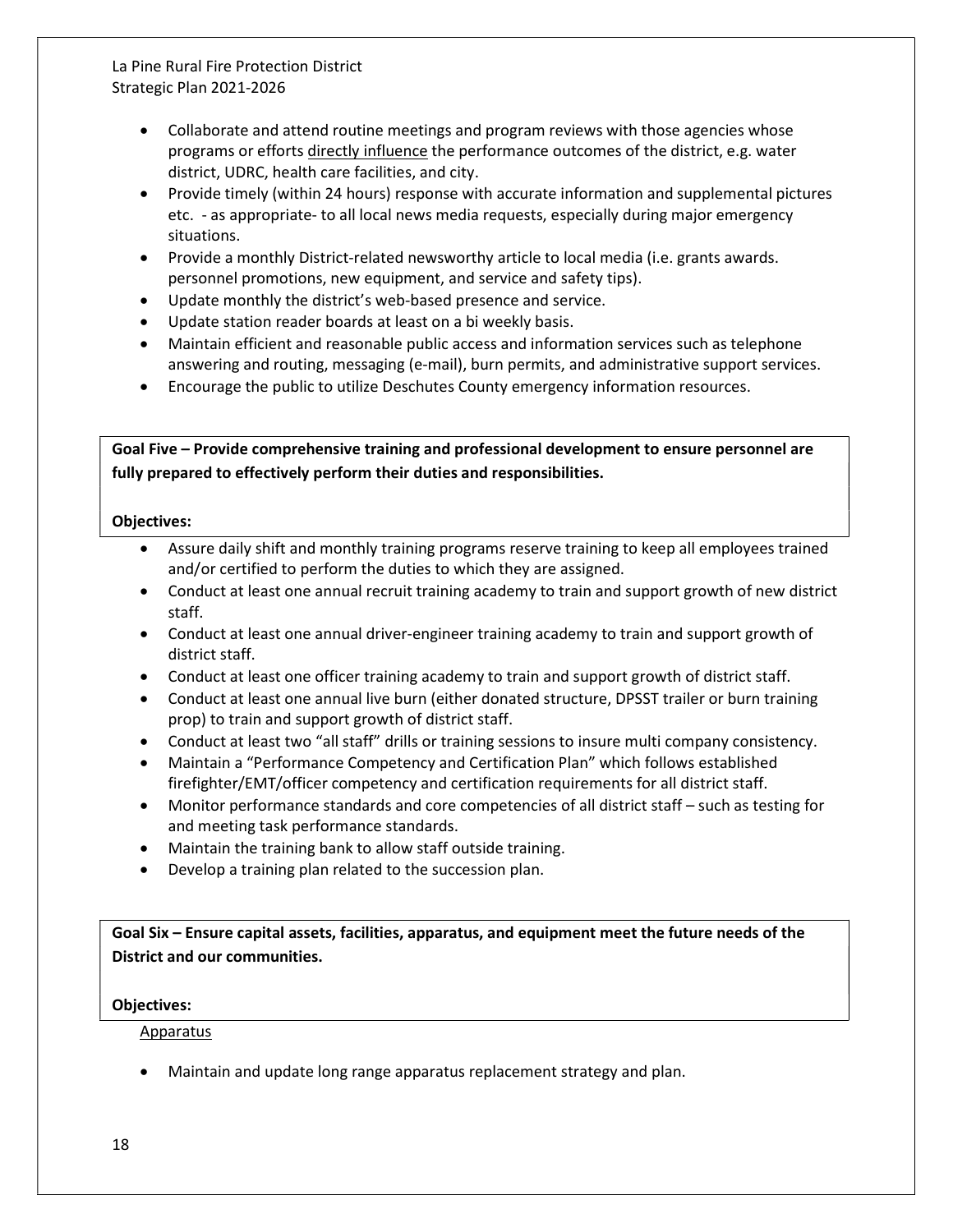- Collaborate and attend routine meetings and program reviews with those agencies whose programs or efforts directly influence the performance outcomes of the district, e.g. water district, UDRC, health care facilities, and city.
- Provide timely (within 24 hours) response with accurate information and supplemental pictures etc. - as appropriate- to all local news media requests, especially during major emergency situations.
- Provide a monthly District-related newsworthy article to local media (i.e. grants awards. personnel promotions, new equipment, and service and safety tips).
- Update monthly the district's web-based presence and service.
- Update station reader boards at least on a bi weekly basis.
- Maintain efficient and reasonable public access and information services such as telephone answering and routing, messaging (e-mail), burn permits, and administrative support services.
- Encourage the public to utilize Deschutes County emergency information resources.

Goal Five – Provide comprehensive training and professional development to ensure personnel are fully prepared to effectively perform their duties and responsibilities.

#### Objectives:

- Assure daily shift and monthly training programs reserve training to keep all employees trained and/or certified to perform the duties to which they are assigned.
- Conduct at least one annual recruit training academy to train and support growth of new district staff.
- Conduct at least one annual driver-engineer training academy to train and support growth of district staff.
- Conduct at least one officer training academy to train and support growth of district staff.
- Conduct at least one annual live burn (either donated structure, DPSST trailer or burn training prop) to train and support growth of district staff.
- Conduct at least two "all staff" drills or training sessions to insure multi company consistency.
- Maintain a "Performance Competency and Certification Plan" which follows established firefighter/EMT/officer competency and certification requirements for all district staff.
- Monitor performance standards and core competencies of all district staff such as testing for and meeting task performance standards.
- Maintain the training bank to allow staff outside training.
- Develop a training plan related to the succession plan.

Goal Six – Ensure capital assets, facilities, apparatus, and equipment meet the future needs of the District and our communities.

## Objectives:

#### Apparatus

Maintain and update long range apparatus replacement strategy and plan.